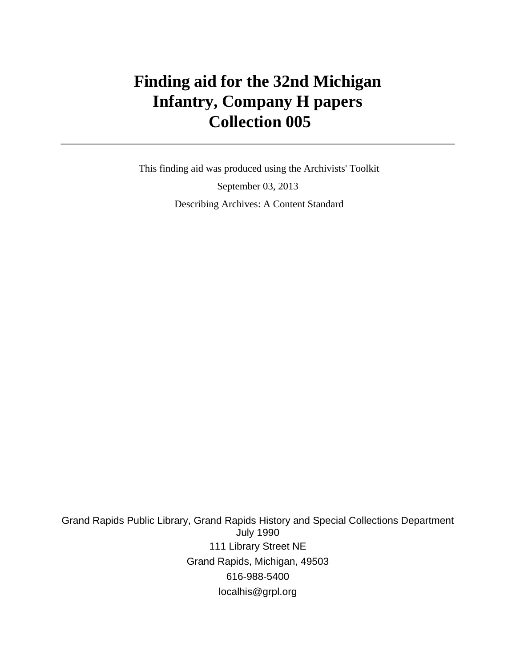# **Finding aid for the 32nd Michigan Infantry, Company H papers Collection 005**

 This finding aid was produced using the Archivists' Toolkit September 03, 2013 Describing Archives: A Content Standard

Grand Rapids Public Library, Grand Rapids History and Special Collections Department July 1990 111 Library Street NE Grand Rapids, Michigan, 49503 616-988-5400 localhis@grpl.org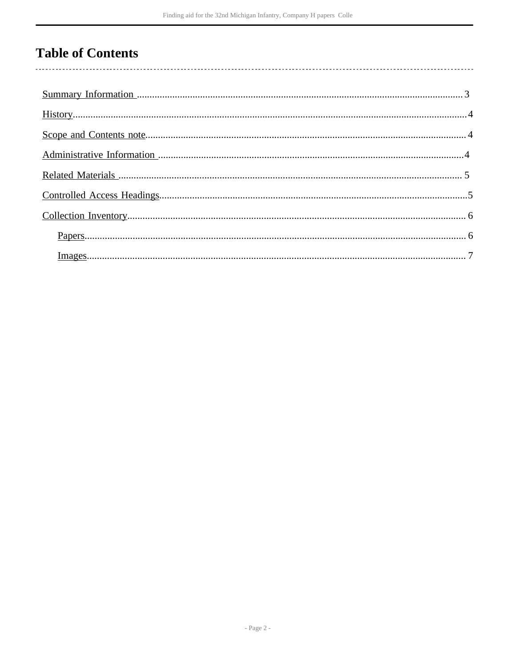# **Table of Contents**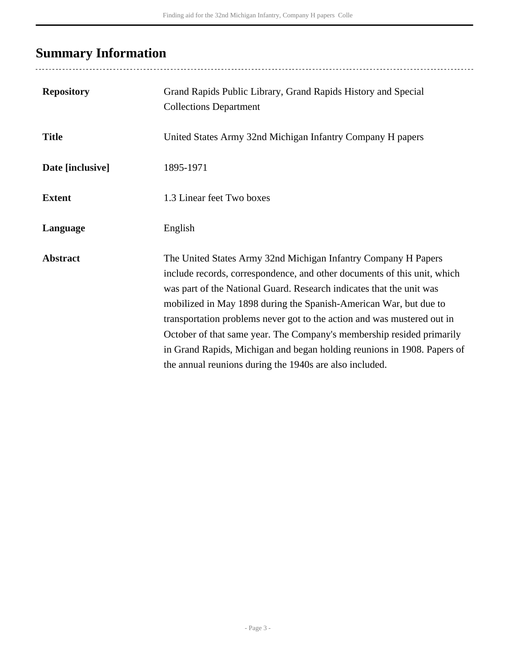# <span id="page-2-0"></span>**Summary Information**

| <b>Repository</b> | Grand Rapids Public Library, Grand Rapids History and Special<br><b>Collections Department</b>                                                                                                                                                                                                                                                                                                                                                                                                                                                                                    |
|-------------------|-----------------------------------------------------------------------------------------------------------------------------------------------------------------------------------------------------------------------------------------------------------------------------------------------------------------------------------------------------------------------------------------------------------------------------------------------------------------------------------------------------------------------------------------------------------------------------------|
| <b>Title</b>      | United States Army 32nd Michigan Infantry Company H papers                                                                                                                                                                                                                                                                                                                                                                                                                                                                                                                        |
| Date [inclusive]  | 1895-1971                                                                                                                                                                                                                                                                                                                                                                                                                                                                                                                                                                         |
| <b>Extent</b>     | 1.3 Linear feet Two boxes                                                                                                                                                                                                                                                                                                                                                                                                                                                                                                                                                         |
| Language          | English                                                                                                                                                                                                                                                                                                                                                                                                                                                                                                                                                                           |
| <b>Abstract</b>   | The United States Army 32nd Michigan Infantry Company H Papers<br>include records, correspondence, and other documents of this unit, which<br>was part of the National Guard. Research indicates that the unit was<br>mobilized in May 1898 during the Spanish-American War, but due to<br>transportation problems never got to the action and was mustered out in<br>October of that same year. The Company's membership resided primarily<br>in Grand Rapids, Michigan and began holding reunions in 1908. Papers of<br>the annual reunions during the 1940s are also included. |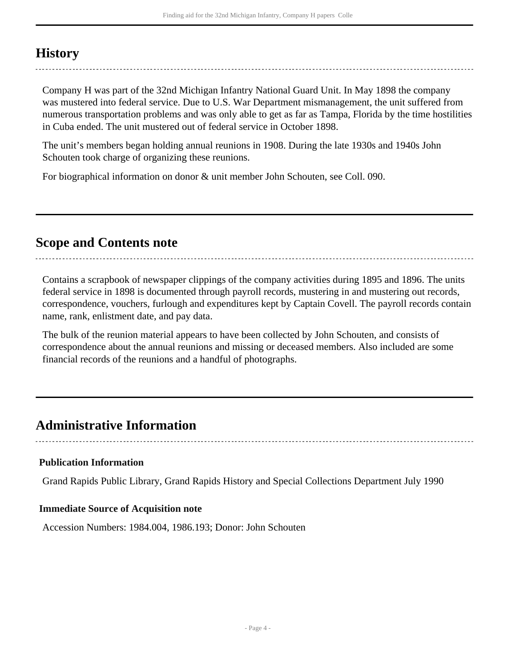## <span id="page-3-0"></span>**History**

Company H was part of the 32nd Michigan Infantry National Guard Unit. In May 1898 the company was mustered into federal service. Due to U.S. War Department mismanagement, the unit suffered from numerous transportation problems and was only able to get as far as Tampa, Florida by the time hostilities in Cuba ended. The unit mustered out of federal service in October 1898.

The unit's members began holding annual reunions in 1908. During the late 1930s and 1940s John Schouten took charge of organizing these reunions.

For biographical information on donor & unit member John Schouten, see Coll. 090.

### <span id="page-3-1"></span>**Scope and Contents note**

Contains a scrapbook of newspaper clippings of the company activities during 1895 and 1896. The units federal service in 1898 is documented through payroll records, mustering in and mustering out records, correspondence, vouchers, furlough and expenditures kept by Captain Covell. The payroll records contain name, rank, enlistment date, and pay data.

The bulk of the reunion material appears to have been collected by John Schouten, and consists of correspondence about the annual reunions and missing or deceased members. Also included are some financial records of the reunions and a handful of photographs.

### <span id="page-3-2"></span>**Administrative Information**

**Publication Information**

Grand Rapids Public Library, Grand Rapids History and Special Collections Department July 1990

#### **Immediate Source of Acquisition note**

Accession Numbers: 1984.004, 1986.193; Donor: John Schouten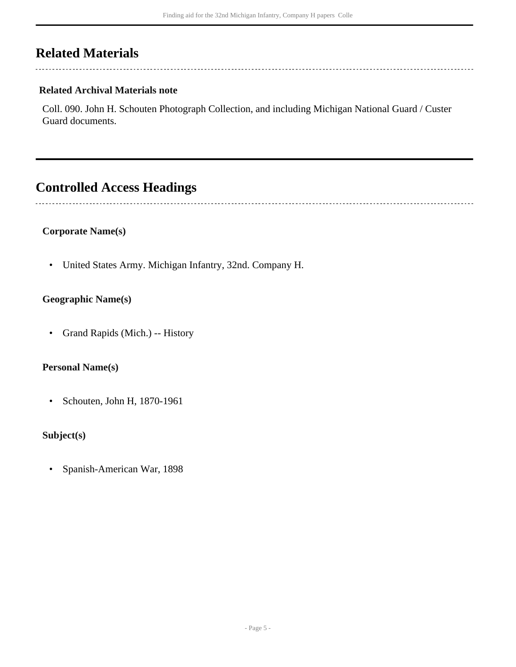## <span id="page-4-0"></span>**Related Materials**

 $\overline{a}$ 

### **Related Archival Materials note**

Coll. 090. John H. Schouten Photograph Collection, and including Michigan National Guard / Custer Guard documents.

## <span id="page-4-1"></span>**Controlled Access Headings**

• United States Army. Michigan Infantry, 32nd. Company H.

### **Geographic Name(s)**

**Corporate Name(s)**

• Grand Rapids (Mich.) -- History

#### **Personal Name(s)**

• Schouten, John H, 1870-1961

### **Subject(s)**

• Spanish-American War, 1898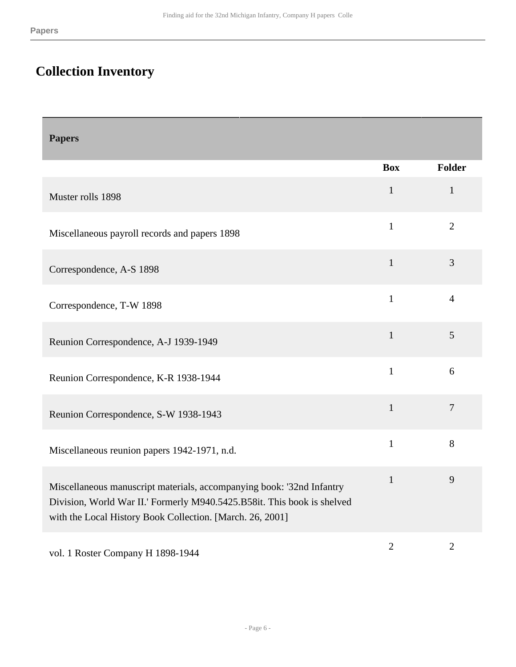# <span id="page-5-0"></span>**Collection Inventory**

<span id="page-5-1"></span>

| <b>Papers</b>                                                                                                                                                                                                 |              |                |
|---------------------------------------------------------------------------------------------------------------------------------------------------------------------------------------------------------------|--------------|----------------|
|                                                                                                                                                                                                               | <b>Box</b>   | <b>Folder</b>  |
| Muster rolls 1898                                                                                                                                                                                             | $\mathbf{1}$ | $\mathbf{1}$   |
| Miscellaneous payroll records and papers 1898                                                                                                                                                                 | $\mathbf{1}$ | $\overline{2}$ |
| Correspondence, A-S 1898                                                                                                                                                                                      | $\mathbf{1}$ | 3              |
| Correspondence, T-W 1898                                                                                                                                                                                      | $\mathbf{1}$ | $\overline{4}$ |
| Reunion Correspondence, A-J 1939-1949                                                                                                                                                                         | $\mathbf{1}$ | 5              |
| Reunion Correspondence, K-R 1938-1944                                                                                                                                                                         | $\mathbf{1}$ | 6              |
| Reunion Correspondence, S-W 1938-1943                                                                                                                                                                         | $\mathbf{1}$ | $\overline{7}$ |
| Miscellaneous reunion papers 1942-1971, n.d.                                                                                                                                                                  | $\mathbf{1}$ | 8              |
| Miscellaneous manuscript materials, accompanying book: '32nd Infantry<br>Division, World War II.' Formerly M940.5425.B58it. This book is shelved<br>with the Local History Book Collection. [March. 26, 2001] | $\mathbf{1}$ | 9              |
| vol. 1 Roster Company H 1898-1944                                                                                                                                                                             | $\mathbf{2}$ | $\overline{2}$ |